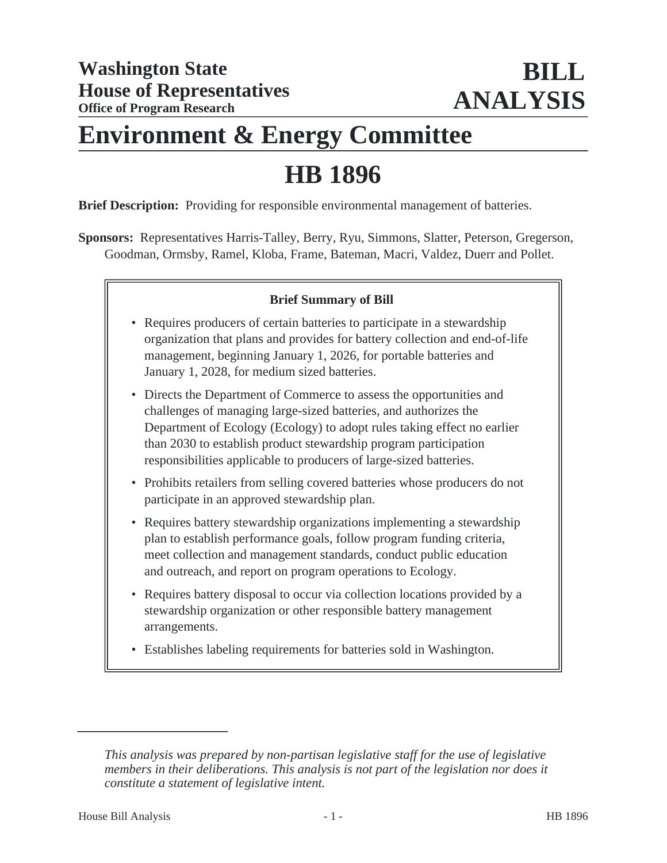# **Environment & Energy Committee**

# **HB 1896**

**Brief Description:** Providing for responsible environmental management of batteries.

**Sponsors:** Representatives Harris-Talley, Berry, Ryu, Simmons, Slatter, Peterson, Gregerson, Goodman, Ormsby, Ramel, Kloba, Frame, Bateman, Macri, Valdez, Duerr and Pollet.

# **Brief Summary of Bill**

- Requires producers of certain batteries to participate in a stewardship organization that plans and provides for battery collection and end-of-life management, beginning January 1, 2026, for portable batteries and January 1, 2028, for medium sized batteries.
- Directs the Department of Commerce to assess the opportunities and challenges of managing large-sized batteries, and authorizes the Department of Ecology (Ecology) to adopt rules taking effect no earlier than 2030 to establish product stewardship program participation responsibilities applicable to producers of large-sized batteries.
- Prohibits retailers from selling covered batteries whose producers do not participate in an approved stewardship plan.
- Requires battery stewardship organizations implementing a stewardship plan to establish performance goals, follow program funding criteria, meet collection and management standards, conduct public education and outreach, and report on program operations to Ecology.
- Requires battery disposal to occur via collection locations provided by a stewardship organization or other responsible battery management arrangements.
- Establishes labeling requirements for batteries sold in Washington.

*This analysis was prepared by non-partisan legislative staff for the use of legislative members in their deliberations. This analysis is not part of the legislation nor does it constitute a statement of legislative intent.*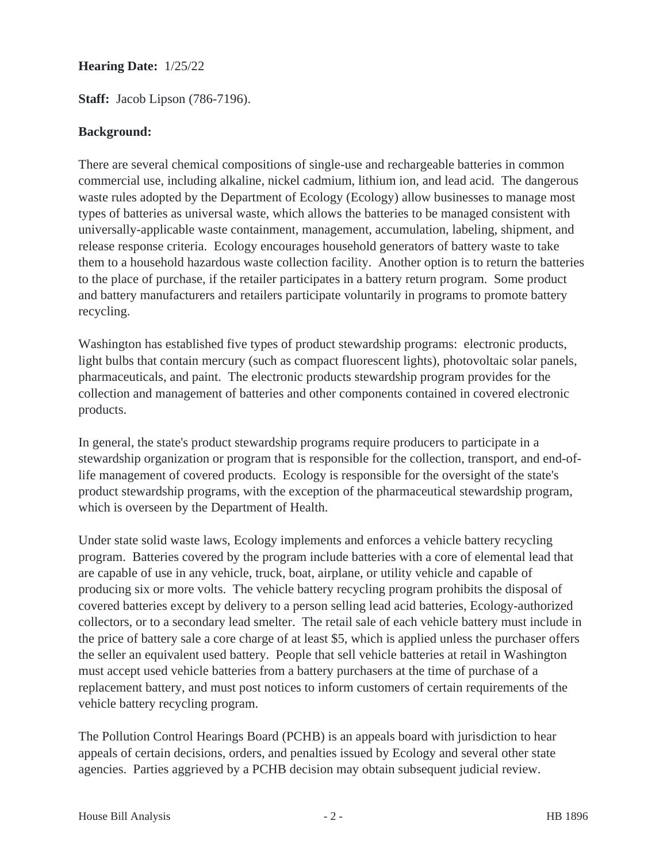#### **Hearing Date:** 1/25/22

**Staff:** Jacob Lipson (786-7196).

#### **Background:**

There are several chemical compositions of single-use and rechargeable batteries in common commercial use, including alkaline, nickel cadmium, lithium ion, and lead acid. The dangerous waste rules adopted by the Department of Ecology (Ecology) allow businesses to manage most types of batteries as universal waste, which allows the batteries to be managed consistent with universally-applicable waste containment, management, accumulation, labeling, shipment, and release response criteria. Ecology encourages household generators of battery waste to take them to a household hazardous waste collection facility. Another option is to return the batteries to the place of purchase, if the retailer participates in a battery return program. Some product and battery manufacturers and retailers participate voluntarily in programs to promote battery recycling.

Washington has established five types of product stewardship programs: electronic products, light bulbs that contain mercury (such as compact fluorescent lights), photovoltaic solar panels, pharmaceuticals, and paint. The electronic products stewardship program provides for the collection and management of batteries and other components contained in covered electronic products.

In general, the state's product stewardship programs require producers to participate in a stewardship organization or program that is responsible for the collection, transport, and end-oflife management of covered products. Ecology is responsible for the oversight of the state's product stewardship programs, with the exception of the pharmaceutical stewardship program, which is overseen by the Department of Health.

Under state solid waste laws, Ecology implements and enforces a vehicle battery recycling program. Batteries covered by the program include batteries with a core of elemental lead that are capable of use in any vehicle, truck, boat, airplane, or utility vehicle and capable of producing six or more volts. The vehicle battery recycling program prohibits the disposal of covered batteries except by delivery to a person selling lead acid batteries, Ecology-authorized collectors, or to a secondary lead smelter. The retail sale of each vehicle battery must include in the price of battery sale a core charge of at least \$5, which is applied unless the purchaser offers the seller an equivalent used battery. People that sell vehicle batteries at retail in Washington must accept used vehicle batteries from a battery purchasers at the time of purchase of a replacement battery, and must post notices to inform customers of certain requirements of the vehicle battery recycling program.

The Pollution Control Hearings Board (PCHB) is an appeals board with jurisdiction to hear appeals of certain decisions, orders, and penalties issued by Ecology and several other state agencies. Parties aggrieved by a PCHB decision may obtain subsequent judicial review.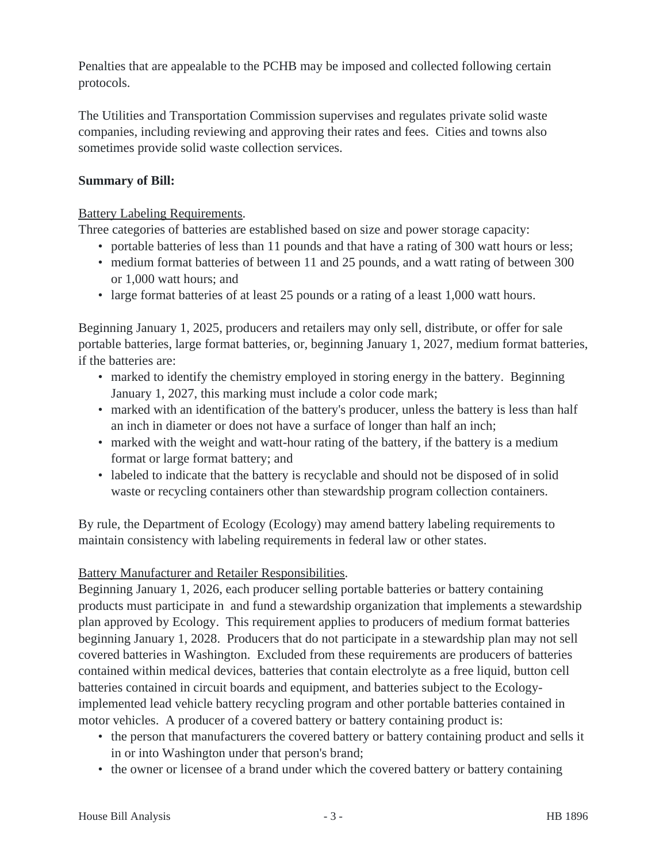Penalties that are appealable to the PCHB may be imposed and collected following certain protocols.

The Utilities and Transportation Commission supervises and regulates private solid waste companies, including reviewing and approving their rates and fees. Cities and towns also sometimes provide solid waste collection services.

# **Summary of Bill:**

# Battery Labeling Requirements.

Three categories of batteries are established based on size and power storage capacity:

- portable batteries of less than 11 pounds and that have a rating of 300 watt hours or less;
- medium format batteries of between 11 and 25 pounds, and a watt rating of between 300 or 1,000 watt hours; and
- large format batteries of at least 25 pounds or a rating of a least 1,000 watt hours.

Beginning January 1, 2025, producers and retailers may only sell, distribute, or offer for sale portable batteries, large format batteries, or, beginning January 1, 2027, medium format batteries, if the batteries are:

- marked to identify the chemistry employed in storing energy in the battery. Beginning January 1, 2027, this marking must include a color code mark;
- marked with an identification of the battery's producer, unless the battery is less than half an inch in diameter or does not have a surface of longer than half an inch;
- marked with the weight and watt-hour rating of the battery, if the battery is a medium format or large format battery; and
- labeled to indicate that the battery is recyclable and should not be disposed of in solid waste or recycling containers other than stewardship program collection containers.

By rule, the Department of Ecology (Ecology) may amend battery labeling requirements to maintain consistency with labeling requirements in federal law or other states.

# Battery Manufacturer and Retailer Responsibilities.

Beginning January 1, 2026, each producer selling portable batteries or battery containing products must participate in and fund a stewardship organization that implements a stewardship plan approved by Ecology. This requirement applies to producers of medium format batteries beginning January 1, 2028. Producers that do not participate in a stewardship plan may not sell covered batteries in Washington. Excluded from these requirements are producers of batteries contained within medical devices, batteries that contain electrolyte as a free liquid, button cell batteries contained in circuit boards and equipment, and batteries subject to the Ecologyimplemented lead vehicle battery recycling program and other portable batteries contained in motor vehicles. A producer of a covered battery or battery containing product is:

- the person that manufacturers the covered battery or battery containing product and sells it in or into Washington under that person's brand;
- the owner or licensee of a brand under which the covered battery or battery containing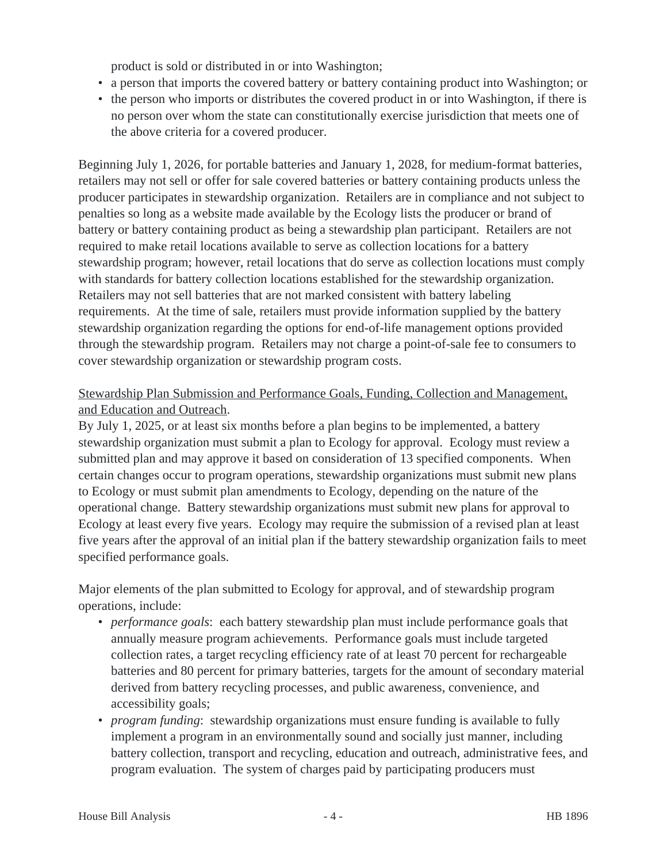product is sold or distributed in or into Washington;

- a person that imports the covered battery or battery containing product into Washington; or
- the person who imports or distributes the covered product in or into Washington, if there is no person over whom the state can constitutionally exercise jurisdiction that meets one of the above criteria for a covered producer.

Beginning July 1, 2026, for portable batteries and January 1, 2028, for medium-format batteries, retailers may not sell or offer for sale covered batteries or battery containing products unless the producer participates in stewardship organization. Retailers are in compliance and not subject to penalties so long as a website made available by the Ecology lists the producer or brand of battery or battery containing product as being a stewardship plan participant. Retailers are not required to make retail locations available to serve as collection locations for a battery stewardship program; however, retail locations that do serve as collection locations must comply with standards for battery collection locations established for the stewardship organization. Retailers may not sell batteries that are not marked consistent with battery labeling requirements. At the time of sale, retailers must provide information supplied by the battery stewardship organization regarding the options for end-of-life management options provided through the stewardship program. Retailers may not charge a point-of-sale fee to consumers to cover stewardship organization or stewardship program costs.

# Stewardship Plan Submission and Performance Goals, Funding, Collection and Management, and Education and Outreach.

By July 1, 2025, or at least six months before a plan begins to be implemented, a battery stewardship organization must submit a plan to Ecology for approval. Ecology must review a submitted plan and may approve it based on consideration of 13 specified components. When certain changes occur to program operations, stewardship organizations must submit new plans to Ecology or must submit plan amendments to Ecology, depending on the nature of the operational change. Battery stewardship organizations must submit new plans for approval to Ecology at least every five years. Ecology may require the submission of a revised plan at least five years after the approval of an initial plan if the battery stewardship organization fails to meet specified performance goals.

Major elements of the plan submitted to Ecology for approval, and of stewardship program operations, include:

- *performance goals*: each battery stewardship plan must include performance goals that annually measure program achievements. Performance goals must include targeted collection rates, a target recycling efficiency rate of at least 70 percent for rechargeable batteries and 80 percent for primary batteries, targets for the amount of secondary material derived from battery recycling processes, and public awareness, convenience, and accessibility goals;
- *program funding*: stewardship organizations must ensure funding is available to fully implement a program in an environmentally sound and socially just manner, including battery collection, transport and recycling, education and outreach, administrative fees, and program evaluation. The system of charges paid by participating producers must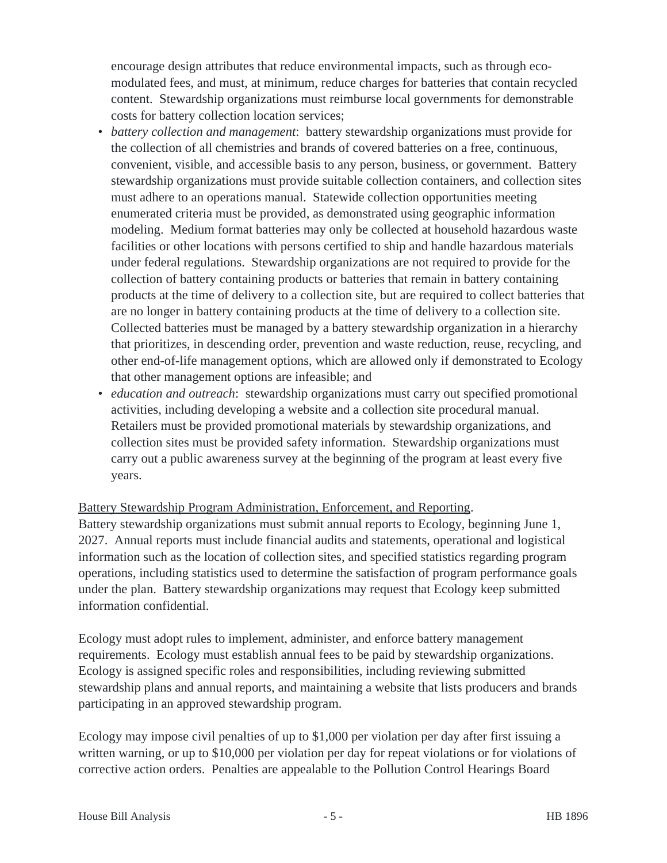encourage design attributes that reduce environmental impacts, such as through ecomodulated fees, and must, at minimum, reduce charges for batteries that contain recycled content. Stewardship organizations must reimburse local governments for demonstrable costs for battery collection location services;

- battery collection and management: battery stewardship organizations must provide for the collection of all chemistries and brands of covered batteries on a free, continuous, convenient, visible, and accessible basis to any person, business, or government. Battery stewardship organizations must provide suitable collection containers, and collection sites must adhere to an operations manual. Statewide collection opportunities meeting enumerated criteria must be provided, as demonstrated using geographic information modeling. Medium format batteries may only be collected at household hazardous waste facilities or other locations with persons certified to ship and handle hazardous materials under federal regulations. Stewardship organizations are not required to provide for the collection of battery containing products or batteries that remain in battery containing products at the time of delivery to a collection site, but are required to collect batteries that are no longer in battery containing products at the time of delivery to a collection site. Collected batteries must be managed by a battery stewardship organization in a hierarchy that prioritizes, in descending order, prevention and waste reduction, reuse, recycling, and other end-of-life management options, which are allowed only if demonstrated to Ecology that other management options are infeasible; and
- *education and outreach*: stewardship organizations must carry out specified promotional activities, including developing a website and a collection site procedural manual. Retailers must be provided promotional materials by stewardship organizations, and collection sites must be provided safety information. Stewardship organizations must carry out a public awareness survey at the beginning of the program at least every five years.

# Battery Stewardship Program Administration, Enforcement, and Reporting.

Battery stewardship organizations must submit annual reports to Ecology, beginning June 1, 2027. Annual reports must include financial audits and statements, operational and logistical information such as the location of collection sites, and specified statistics regarding program operations, including statistics used to determine the satisfaction of program performance goals under the plan. Battery stewardship organizations may request that Ecology keep submitted information confidential.

Ecology must adopt rules to implement, administer, and enforce battery management requirements. Ecology must establish annual fees to be paid by stewardship organizations. Ecology is assigned specific roles and responsibilities, including reviewing submitted stewardship plans and annual reports, and maintaining a website that lists producers and brands participating in an approved stewardship program.

Ecology may impose civil penalties of up to \$1,000 per violation per day after first issuing a written warning, or up to \$10,000 per violation per day for repeat violations or for violations of corrective action orders. Penalties are appealable to the Pollution Control Hearings Board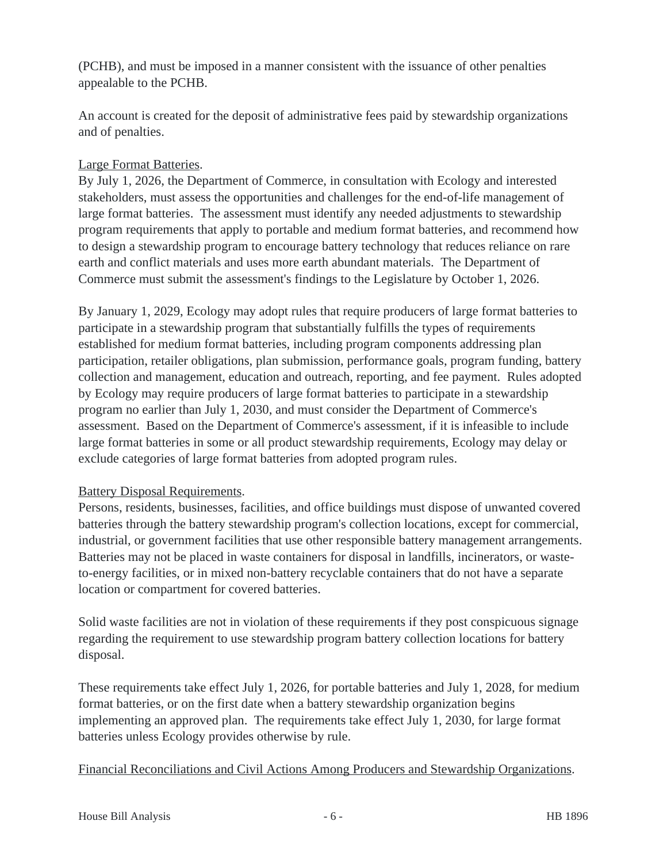(PCHB), and must be imposed in a manner consistent with the issuance of other penalties appealable to the PCHB.

An account is created for the deposit of administrative fees paid by stewardship organizations and of penalties.

# Large Format Batteries.

By July 1, 2026, the Department of Commerce, in consultation with Ecology and interested stakeholders, must assess the opportunities and challenges for the end-of-life management of large format batteries. The assessment must identify any needed adjustments to stewardship program requirements that apply to portable and medium format batteries, and recommend how to design a stewardship program to encourage battery technology that reduces reliance on rare earth and conflict materials and uses more earth abundant materials. The Department of Commerce must submit the assessment's findings to the Legislature by October 1, 2026.

By January 1, 2029, Ecology may adopt rules that require producers of large format batteries to participate in a stewardship program that substantially fulfills the types of requirements established for medium format batteries, including program components addressing plan participation, retailer obligations, plan submission, performance goals, program funding, battery collection and management, education and outreach, reporting, and fee payment. Rules adopted by Ecology may require producers of large format batteries to participate in a stewardship program no earlier than July 1, 2030, and must consider the Department of Commerce's assessment. Based on the Department of Commerce's assessment, if it is infeasible to include large format batteries in some or all product stewardship requirements, Ecology may delay or exclude categories of large format batteries from adopted program rules.

# Battery Disposal Requirements.

Persons, residents, businesses, facilities, and office buildings must dispose of unwanted covered batteries through the battery stewardship program's collection locations, except for commercial, industrial, or government facilities that use other responsible battery management arrangements. Batteries may not be placed in waste containers for disposal in landfills, incinerators, or wasteto-energy facilities, or in mixed non-battery recyclable containers that do not have a separate location or compartment for covered batteries.

Solid waste facilities are not in violation of these requirements if they post conspicuous signage regarding the requirement to use stewardship program battery collection locations for battery disposal.

These requirements take effect July 1, 2026, for portable batteries and July 1, 2028, for medium format batteries, or on the first date when a battery stewardship organization begins implementing an approved plan. The requirements take effect July 1, 2030, for large format batteries unless Ecology provides otherwise by rule.

# Financial Reconciliations and Civil Actions Among Producers and Stewardship Organizations.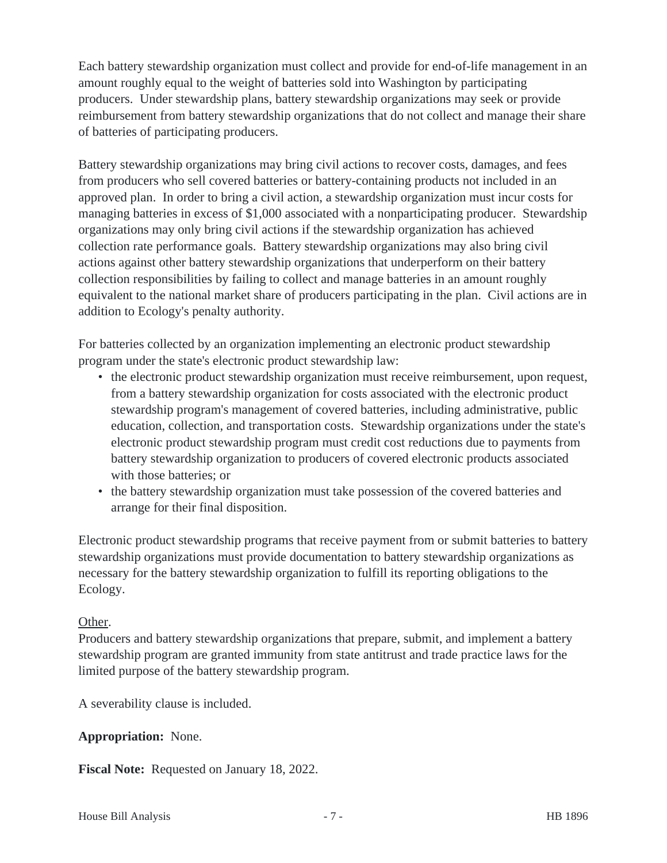Each battery stewardship organization must collect and provide for end-of-life management in an amount roughly equal to the weight of batteries sold into Washington by participating producers. Under stewardship plans, battery stewardship organizations may seek or provide reimbursement from battery stewardship organizations that do not collect and manage their share of batteries of participating producers.

Battery stewardship organizations may bring civil actions to recover costs, damages, and fees from producers who sell covered batteries or battery-containing products not included in an approved plan. In order to bring a civil action, a stewardship organization must incur costs for managing batteries in excess of \$1,000 associated with a nonparticipating producer. Stewardship organizations may only bring civil actions if the stewardship organization has achieved collection rate performance goals. Battery stewardship organizations may also bring civil actions against other battery stewardship organizations that underperform on their battery collection responsibilities by failing to collect and manage batteries in an amount roughly equivalent to the national market share of producers participating in the plan. Civil actions are in addition to Ecology's penalty authority.

For batteries collected by an organization implementing an electronic product stewardship program under the state's electronic product stewardship law:

- the electronic product stewardship organization must receive reimbursement, upon request, from a battery stewardship organization for costs associated with the electronic product stewardship program's management of covered batteries, including administrative, public education, collection, and transportation costs. Stewardship organizations under the state's electronic product stewardship program must credit cost reductions due to payments from battery stewardship organization to producers of covered electronic products associated with those batteries; or
- the battery stewardship organization must take possession of the covered batteries and arrange for their final disposition.

Electronic product stewardship programs that receive payment from or submit batteries to battery stewardship organizations must provide documentation to battery stewardship organizations as necessary for the battery stewardship organization to fulfill its reporting obligations to the Ecology.

# Other.

Producers and battery stewardship organizations that prepare, submit, and implement a battery stewardship program are granted immunity from state antitrust and trade practice laws for the limited purpose of the battery stewardship program.

A severability clause is included.

# **Appropriation:** None.

**Fiscal Note:** Requested on January 18, 2022.